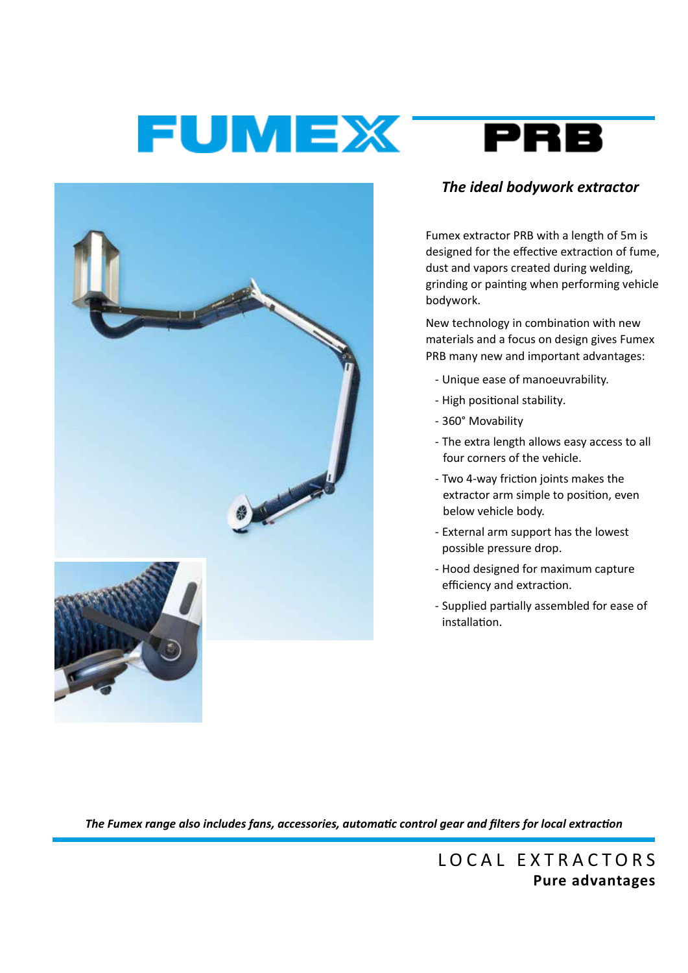# FUMEX<sup>-</sup>





## *The ideal bodywork extractor*

Fumex extractor PRB with a length of 5m is designed for the effective extraction of fume, dust and vapors created during welding, grinding or painting when performing vehicle bodywork.

New technology in combination with new materials and a focus on design gives Fumex PRB many new and important advantages:

- Unique ease of manoeuvrability.
- High positional stability.
- 360° Movability
- The extra length allows easy access to all four corners of the vehicle.
- Two 4-way friction joints makes the extractor arm simple to position, even below vehicle body.
- External arm support has the lowest possible pressure drop.
- Hood designed for maximum capture efficiency and extraction.
- Supplied partially assembled for ease of installation.

*The Fumex range also includes fans, accessories, automatic control gear and filters for local extraction*

LOCAL EXTRACTORS **Pure advantages**